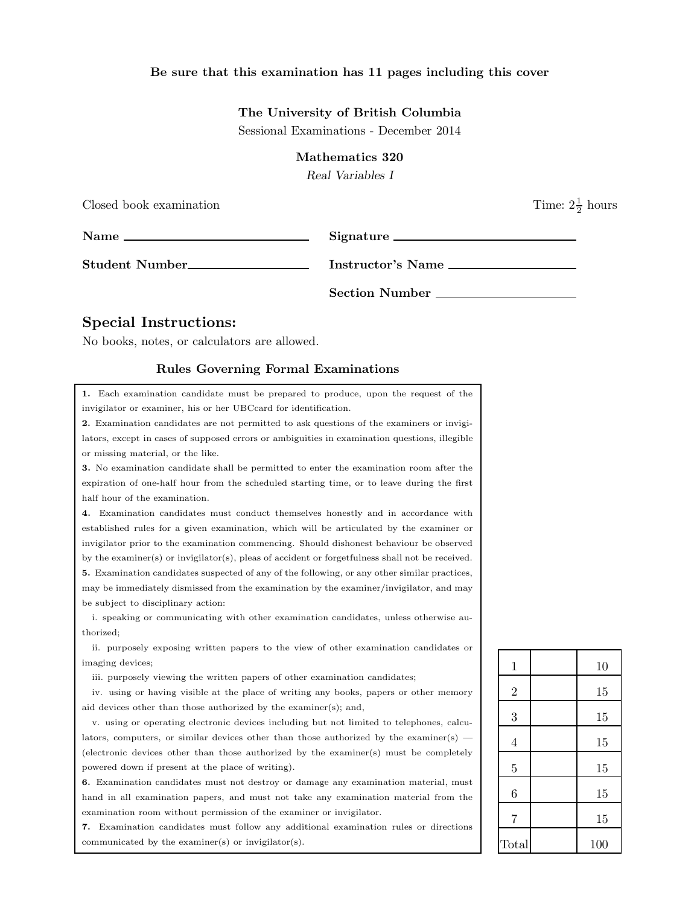## Be sure that this examination has 11 pages including this cover

### The University of British Columbia

Sessional Examinations - December 2014

### Mathematics 320

Real Variables I

| Closed book examination                                                  |                   | Time: $2\frac{1}{2}$ hours |
|--------------------------------------------------------------------------|-------------------|----------------------------|
| Name $\frac{1}{\sqrt{1-\frac{1}{2}}\left\lceil \frac{1}{2}\right\rceil}$ | Signature         |                            |
| Student Number                                                           | Instructor's Name |                            |
|                                                                          | Section Number    |                            |

# Special Instructions:

No books, notes, or calculators are allowed.

### Rules Governing Formal Examinations

1. Each examination candidate must be prepared to produce, upon the request of the invigilator or examiner, his or her UBCcard for identification.

2. Examination candidates are not permitted to ask questions of the examiners or invigilators, except in cases of supposed errors or ambiguities in examination questions, illegible or missing material, or the like.

3. No examination candidate shall be permitted to enter the examination room after the expiration of one-half hour from the scheduled starting time, or to leave during the first half hour of the examination.

4. Examination candidates must conduct themselves honestly and in accordance with established rules for a given examination, which will be articulated by the examiner or invigilator prior to the examination commencing. Should dishonest behaviour be observed by the examiner(s) or invigilator(s), pleas of accident or forgetfulness shall not be received. 5. Examination candidates suspected of any of the following, or any other similar practices, may be immediately dismissed from the examination by the examiner/invigilator, and may be subject to disciplinary action:

i. speaking or communicating with other examination candidates, unless otherwise authorized;

ii. purposely exposing written papers to the view of other examination candidates or imaging devices;

iii. purposely viewing the written papers of other examination candidates;

iv. using or having visible at the place of writing any books, papers or other memory aid devices other than those authorized by the examiner(s); and,

v. using or operating electronic devices including but not limited to telephones, calculators, computers, or similar devices other than those authorized by the examiner(s) — (electronic devices other than those authorized by the examiner(s) must be completely powered down if present at the place of writing).

6. Examination candidates must not destroy or damage any examination material, must hand in all examination papers, and must not take any examination material from the examination room without permission of the examiner or invigilator.

7. Examination candidates must follow any additional examination rules or directions communicated by the examiner(s) or invigilator(s).

| $\mathbf 1$    | 10  |
|----------------|-----|
| $\overline{2}$ | 15  |
| 3              | 15  |
| $\overline{4}$ | 15  |
| $\overline{5}$ | 15  |
| 6              | 15  |
| $\overline{7}$ | 15  |
| Total          | 100 |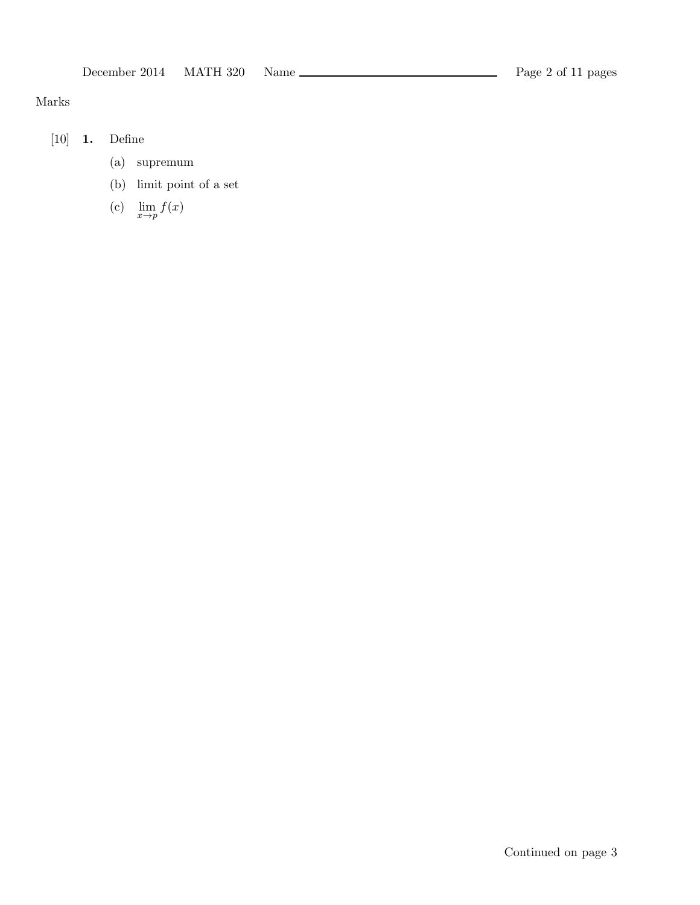# Marks

- [10] 1. Define
	- (a) supremum
	- (b) limit point of a set

(c) 
$$
\lim_{x \to p} f(x)
$$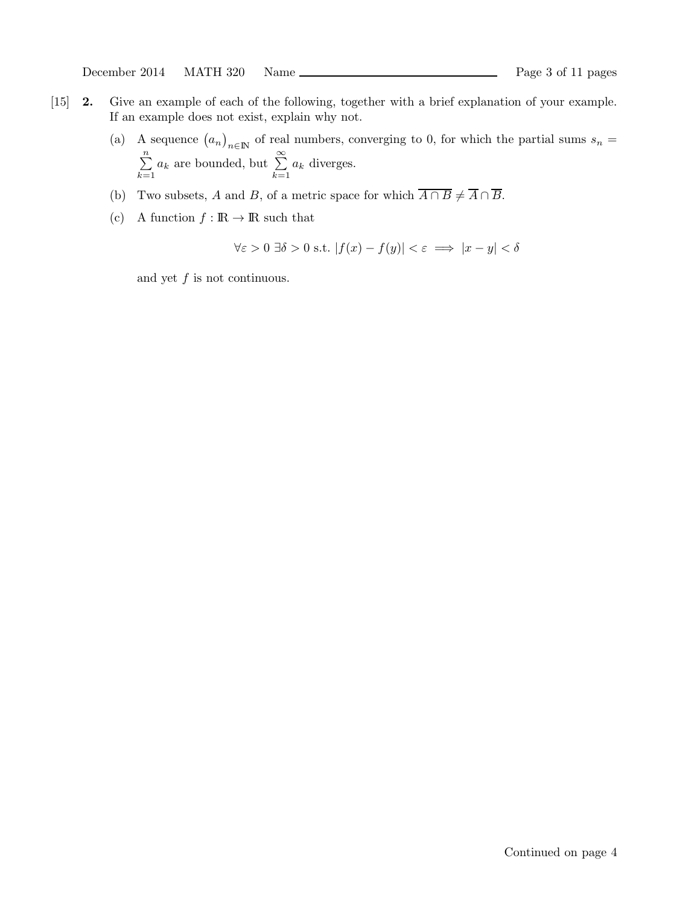- [15] 2. Give an example of each of the following, together with a brief explanation of your example. If an example does not exist, explain why not.
	- (a) A sequence  $(a_n)_{n\in\mathbb{N}}$  of real numbers, converging to 0, for which the partial sums  $s_n =$  $\sum_{n=1}^{\infty}$  $k=1$  $a_k$  are bounded, but  $\sum^{\infty}$  $k=1$  $a_k$  diverges.
	- (b) Two subsets, A and B, of a metric space for which  $\overline{A \cap B} \neq \overline{A} \cap \overline{B}$ .
	- (c) A function  $f : \mathbb{R} \to \mathbb{R}$  such that

$$
\forall \varepsilon > 0 \,\,\exists \delta > 0 \,\,\text{s.t.} \,\,\left| f(x) - f(y) \right| < \varepsilon \implies \left| x - y \right| < \delta
$$

and yet  $f$  is not continuous.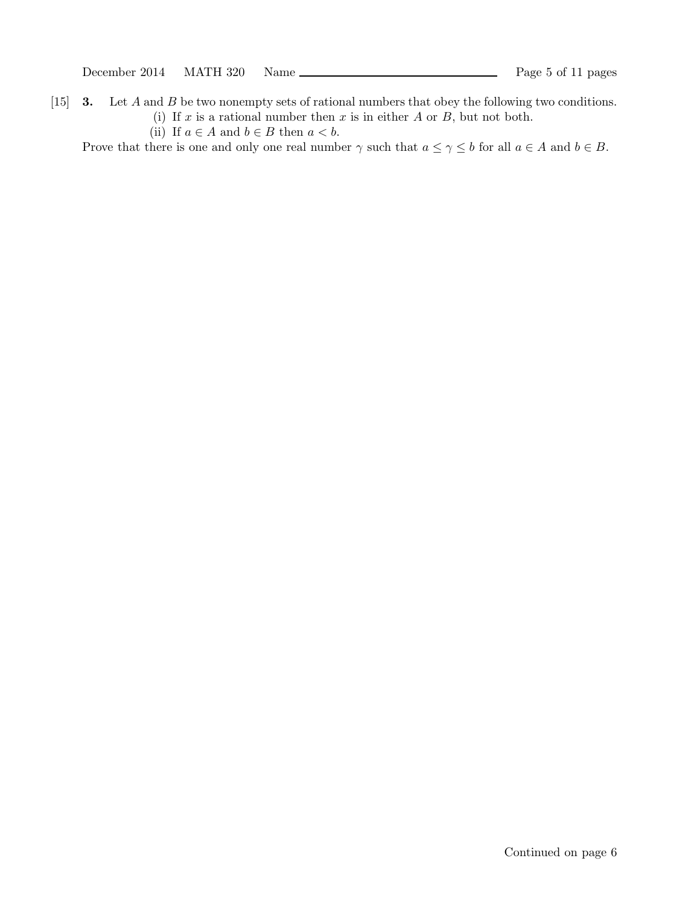- [15] **3.** Let A and B be two nonempty sets of rational numbers that obey the following two conditions. (i) If  $x$  is a rational number then  $x$  is in either  $A$  or  $B$ , but not both.
	- (ii) If  $a \in A$  and  $b \in B$  then  $a < b$ .

Prove that there is one and only one real number  $\gamma$  such that  $a \leq \gamma \leq b$  for all  $a \in A$  and  $b \in B$ .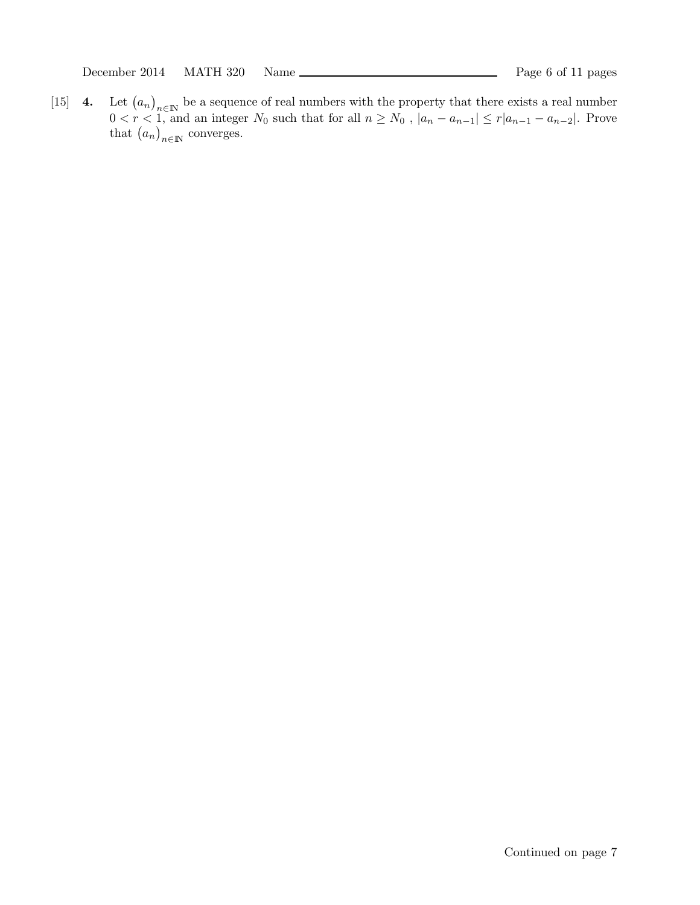$[15]$  4.  $a_n\big)_{n\in\mathbb{N}}$  be a sequence of real numbers with the property that there exists a real number  $0 < r < 1$ , and an integer  $N_0$  such that for all  $n \ge N_0$ ,  $|a_n - a_{n-1}| \le r |a_{n-1} - a_{n-2}|$ . Prove that  $(a_n)_{n \in \mathbb{N}}$  converges.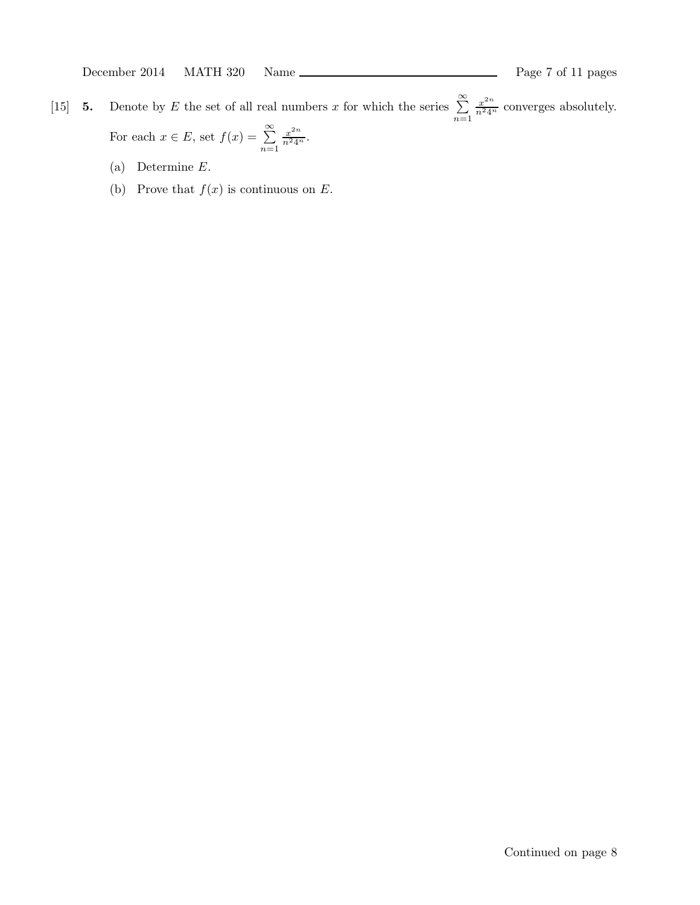- [15] **5.** Denote by E the set of all real numbers x for which the series  $\sum^{\infty}$  $n=1$  $\frac{x^{2n}}{n^2 4^n}$  converges absolutely. For each  $x \in E$ , set  $f(x) = \sum_{n=1}^{\infty}$  $\frac{x^{2n}}{n^2 4^n}$ .
	- (a) Determine E.
	- (b) Prove that  $f(x)$  is continuous on E.

 $n=1$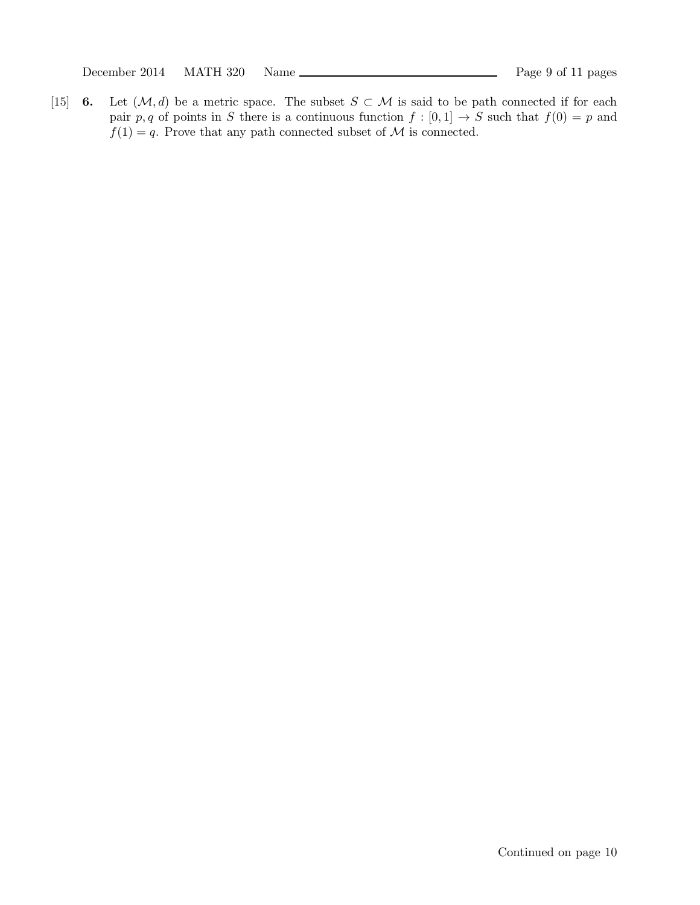[15] 6. Let  $(\mathcal{M}, d)$  be a metric space. The subset  $S \subset \mathcal{M}$  is said to be path connected if for each pair p, q of points in S there is a continuous function  $f : [0,1] \to S$  such that  $f(0) = p$  and  $f(1) = q$ . Prove that any path connected subset of M is connected.